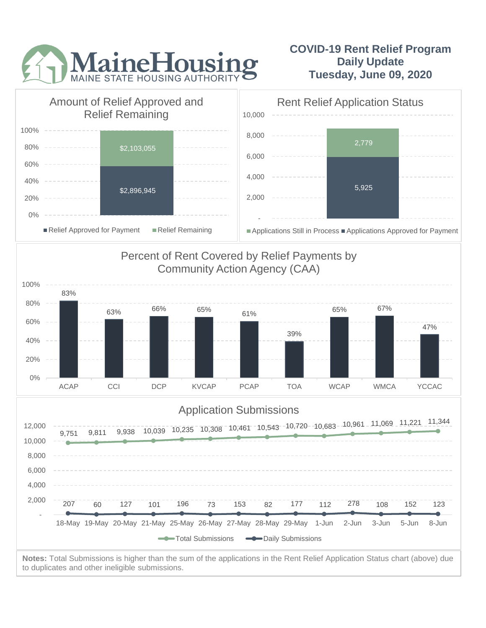

## **COVID-19 Rent Relief Program Daily Update Tuesday, June 09, 2020**



to duplicates and other ineligible submissions.